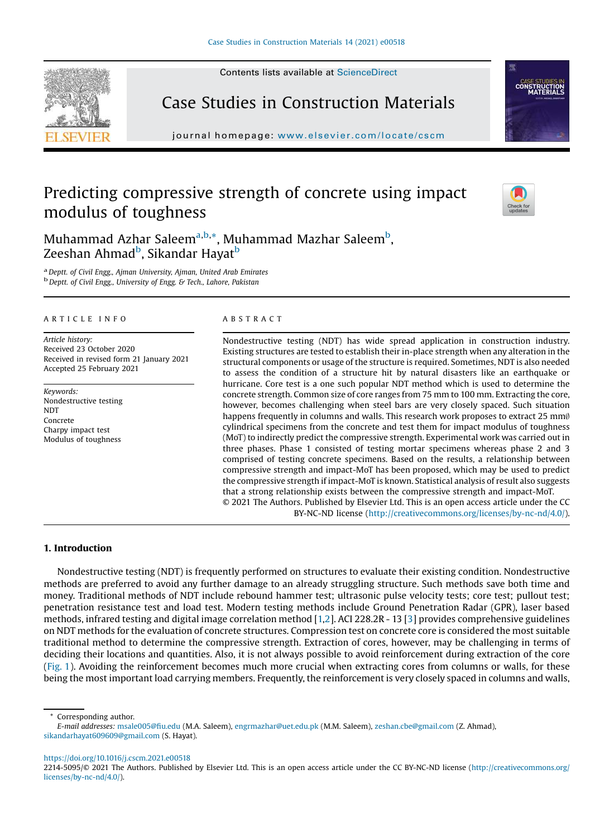Contents lists available at [ScienceDirect](http://www.sciencedirect.com/science/journal/22145095)





journal homepage: <www.elsevier.com/locate/cscm>

# Predicting compressive strength of concrete using impact modulus of toughness



Muhammad Azhar Saleem<sup>a,b,\*</sup>, Muhammad Mazhar Saleem<sup>b</sup>, Zeeshan Ahmad<sup>b</sup>, Sikandar Hayat<sup>b</sup>

a *Deptt. of Civil Engg., Ajman University, Ajman, United Arab Emirates* b *Deptt. of Civil Engg., University of Engg. & Tech., Lahore, Pakistan*

## A R T I C L E I N F O

*Article history:* Received 23 October 2020 Received in revised form 21 January 2021 Accepted 25 February 2021

*Keywords:* Nondestructive testing **NDT** Concrete Charpy impact test Modulus of toughness

#### A B S T R A C T

Nondestructive testing (NDT) has wide spread application in construction industry. Existing structures are tested to establish their in-place strength when any alteration in the structural components or usage of the structure is required. Sometimes, NDT is also needed to assess the condition of a structure hit by natural disasters like an earthquake or hurricane. Core test is a one such popular NDT method which is used to determine the concrete strength. Common size of core ranges from 75 mm to 100 mm. Extracting the core, however, becomes challenging when steel bars are very closely spaced. Such situation happens frequently in columns and walls. This research work proposes to extract 25 mm $\emptyset$ cylindrical specimens from the concrete and test them for impact modulus of toughness (MoT) to indirectly predict the compressive strength. Experimental work was carried out in three phases. Phase 1 consisted of testing mortar specimens whereas phase 2 and 3 comprised of testing concrete specimens. Based on the results, a relationship between compressive strength and impact-MoT has been proposed, which may be used to predict the compressive strength if impact-MoT is known. Statistical analysis of result also suggests that a strong relationship exists between the compressive strength and impact-MoT. © 2021 The Authors. Published by Elsevier Ltd. This is an open access article under the CC

BY-NC-ND license [\(http://creativecommons.org/licenses/by-nc-nd/4.0/\)](http://creativecommons.org/licenses/by-nc-nd/4.0/).

## 1. Introduction

Nondestructive testing (NDT) is frequently performed on structures to evaluate their existing condition. Nondestructive methods are preferred to avoid any further damage to an already struggling structure. Such methods save both time and money. Traditional methods of NDT include rebound hammer test; ultrasonic pulse velocity tests; core test; pullout test; penetration resistance test and load test. Modern testing methods include Ground Penetration Radar (GPR), laser based methods, infrared testing and digital image correlation method [[1,2](#page-7-0)]. ACI 228.2R - 13 [[3](#page-7-0)] provides comprehensive guidelines on NDT methods for the evaluation of concrete structures. Compression test on concrete core is considered the most suitable traditional method to determine the compressive strength. Extraction of cores, however, may be challenging in terms of deciding their locations and quantities. Also, it is not always possible to avoid reinforcement during extraction of the core ([Fig.](#page-1-0) 1). Avoiding the reinforcement becomes much more crucial when extracting cores from columns or walls, for these being the most important load carrying members. Frequently, the reinforcement is very closely spaced in columns and walls,

Corresponding author.

<https://doi.org/10.1016/j.cscm.2021.e00518>

*E-mail addresses:* [msale005@](mailto:msale005@fiu.edu)fiu.edu (M.A. Saleem), [engrmazhar@uet.edu.pk](mailto:engrmazhar@uet.edu.pk) (M.M. Saleem), [zeshan.cbe@gmail.com](mailto:zeshan.cbe@gmail.com) (Z. Ahmad), [sikandarhayat609609@gmail.com](mailto:sikandarhayat609609@gmail.com) (S. Hayat).

<sup>2214-5095/© 2021</sup> The Authors. Published by Elsevier Ltd. This is an open access article under the CC BY-NC-ND license [\(http://creativecommons.org/](http://creativecommons.org/licenses/by-nc-nd/4.0/) [licenses/by-nc-nd/4.0/](http://creativecommons.org/licenses/by-nc-nd/4.0/)).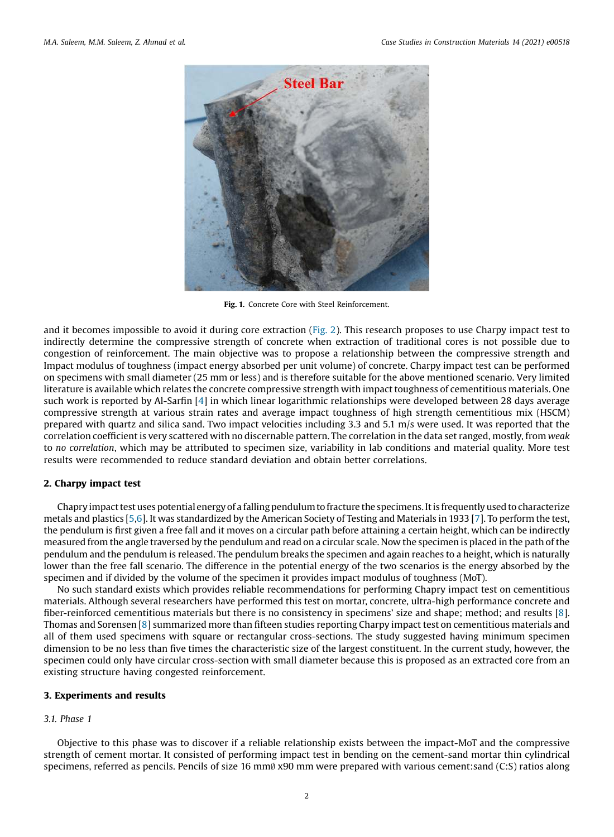<span id="page-1-0"></span>

Fig. 1. Concrete Core with Steel Reinforcement.

and it becomes impossible to avoid it during core extraction [\(Fig.](#page-2-0) 2). This research proposes to use Charpy impact test to indirectly determine the compressive strength of concrete when extraction of traditional cores is not possible due to congestion of reinforcement. The main objective was to propose a relationship between the compressive strength and Impact modulus of toughness (impact energy absorbed per unit volume) of concrete. Charpy impact test can be performed on specimens with small diameter (25 mm or less) and is therefore suitable for the above mentioned scenario. Very limited literature is available which relates the concrete compressive strength with impact toughness of cementitious materials. One such work is reported by Al-Sarfin [\[4](#page-7-0)] in which linear logarithmic relationships were developed between 28 days average compressive strength at various strain rates and average impact toughness of high strength cementitious mix (HSCM) prepared with quartz and silica sand. Two impact velocities including 3.3 and 5.1 m/s were used. It was reported that the correlation coefficient is very scattered with no discernable pattern. The correlation in the data set ranged, mostly, from *weak* to *no correlation*, which may be attributed to specimen size, variability in lab conditions and material quality. More test results were recommended to reduce standard deviation and obtain better correlations.

## 2. Charpy impact test

Chapry impact test uses potential energy of a falling pendulum to fracture the specimens. It is frequently used to characterize metals and plastics [\[5,6](#page-7-0)]. It was standardized by the American Society of Testing and Materials in 1933 [\[7\]](#page-7-0). To perform the test, the pendulum is first given a free fall and it moves on a circular path before attaining a certain height, which can be indirectly measured from the angle traversed by the pendulum and read on a circular scale. Now the specimen is placed in the path of the pendulum and the pendulum is released. The pendulum breaks the specimen and again reaches to a height, which is naturally lower than the free fall scenario. The difference in the potential energy of the two scenarios is the energy absorbed by the specimen and if divided by the volume of the specimen it provides impact modulus of toughness (MoT).

No such standard exists which provides reliable recommendations for performing Chapry impact test on cementitious materials. Although several researchers have performed this test on mortar, concrete, ultra-high performance concrete and fiber-reinforced cementitious materials but there is no consistency in specimens' size and shape; method; and results [\[8](#page-7-0)]. Thomas and Sorensen [[8\]](#page-7-0) summarized more than fifteen studies reporting Charpy impact test on cementitious materials and all of them used specimens with square or rectangular cross-sections. The study suggested having minimum specimen dimension to be no less than five times the characteristic size of the largest constituent. In the current study, however, the specimen could only have circular cross-section with small diameter because this is proposed as an extracted core from an existing structure having congested reinforcement.

# 3. Experiments and results

# *3.1. Phase 1*

Objective to this phase was to discover if a reliable relationship exists between the impact-MoT and the compressive strength of cement mortar. It consisted of performing impact test in bending on the cement-sand mortar thin cylindrical specimens, referred as pencils. Pencils of size 16 mm $\emptyset$  x90 mm were prepared with various cement: sand (C:S) ratios along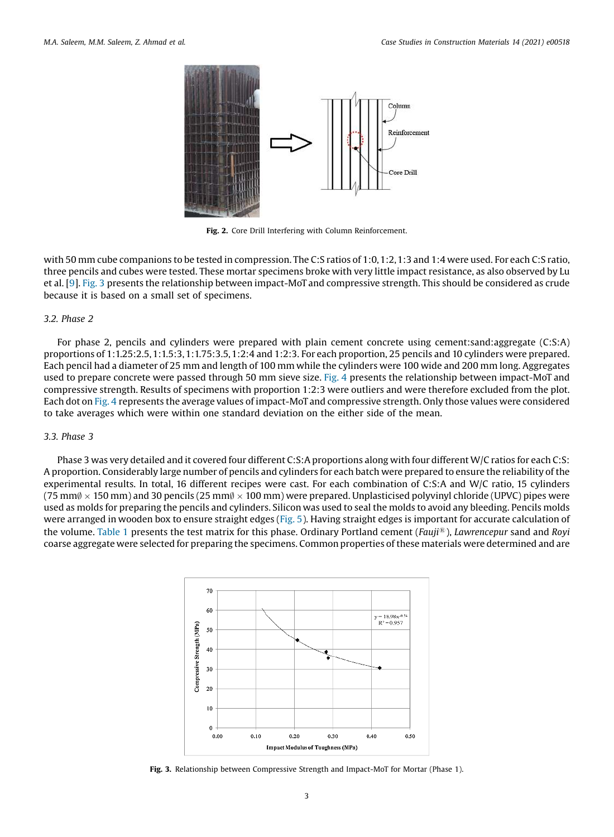<span id="page-2-0"></span>

Fig. 2. Core Drill Interfering with Column Reinforcement.

with 50 mm cube companions to be tested in compression. The C:S ratios of 1:0, 1:2, 1:3 and 1:4 were used. For each C:S ratio, three pencils and cubes were tested. These mortar specimens broke with very little impact resistance, as also observed by Lu et al. [\[9](#page-8-0)]. Fig. 3 presents the relationship between impact-MoT and compressive strength. This should be considered as crude because it is based on a small set of specimens.

# *3.2. Phase 2*

For phase 2, pencils and cylinders were prepared with plain cement concrete using cement:sand:aggregate (C:S:A) proportions of 1:1.25:2.5,1:1.5:3,1:1.75:3.5, 1:2:4 and 1:2:3. For each proportion, 25 pencils and 10 cylinders were prepared. Each pencil had a diameter of 25 mm and length of 100 mm while the cylinders were 100 wide and 200 mm long. Aggregates used to prepare concrete were passed through 50 mm sieve size. [Fig.](#page-3-0) 4 presents the relationship between impact-MoT and compressive strength. Results of specimens with proportion 1:2:3 were outliers and were therefore excluded from the plot. Each dot on [Fig.](#page-3-0) 4 represents the average values of impact-MoT and compressive strength. Only those values were considered to take averages which were within one standard deviation on the either side of the mean.

# *3.3. Phase 3*

Phase 3 was very detailed and it covered four different C:S:A proportions along with four different W/C ratios for each C:S: A proportion. Considerably large number of pencils and cylinders for each batch were prepared to ensure the reliability of the experimental results. In total, 16 different recipes were cast. For each combination of C:S:A and W/C ratio, 15 cylinders (75 mm $\emptyset \times$  150 mm) and 30 pencils (25 mm $\emptyset \times$  100 mm) were prepared. Unplasticised polyvinyl chloride (UPVC) pipes were used as molds for preparing the pencils and cylinders. Silicon was used to seal the molds to avoid any bleeding. Pencils molds were arranged in wooden box to ensure straight edges [\(Fig.](#page-3-0) 5). Having straight edges is important for accurate calculation of the volume. [Table](#page-4-0) 1 presents the test matrix for this phase. Ordinary Portland cement (*Fauji*<sup>1</sup>), *Lawrencepur* sand and *Royi* coarse aggregate were selected for preparing the specimens. Common properties of these materials were determined and are



Fig. 3. Relationship between Compressive Strength and Impact-MoT for Mortar (Phase 1).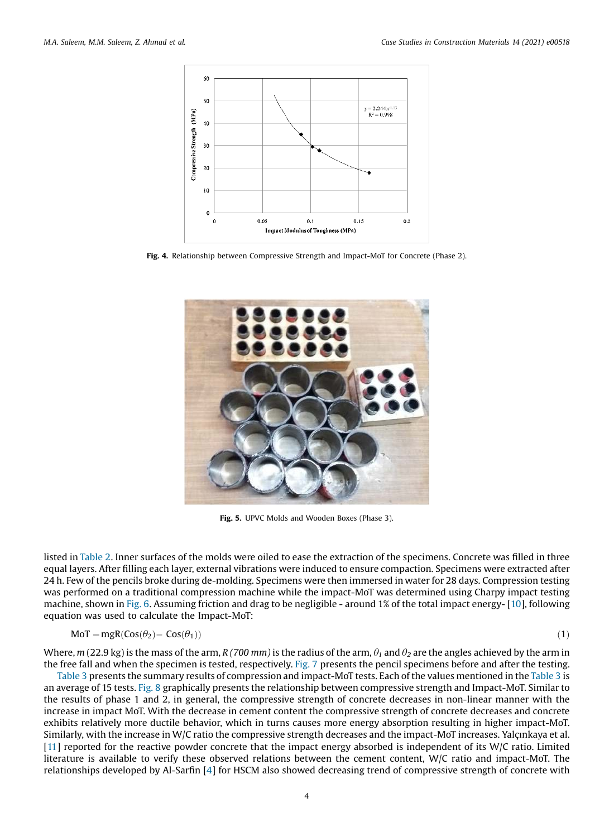<span id="page-3-0"></span>

Fig. 4. Relationship between Compressive Strength and Impact-MoT for Concrete (Phase 2).



Fig. 5. UPVC Molds and Wooden Boxes (Phase 3).

listed in [Table](#page-4-0) 2. Inner surfaces of the molds were oiled to ease the extraction of the specimens. Concrete was filled in three equal layers. After filling each layer, external vibrations were induced to ensure compaction. Specimens were extracted after 24 h. Few of the pencils broke during de-molding. Specimens were then immersed in water for 28 days. Compression testing was performed on a traditional compression machine while the impact-MoT was determined using Charpy impact testing machine, shown in [Fig.](#page-4-0) 6. Assuming friction and drag to be negligible - around 1% of the total impact energy- [\[10](#page-8-0)], following equation was used to calculate the Impact-MoT:

$$
MoT = mgR(Cos(\theta_2) - Cos(\theta_1))
$$
\n(1)

Where,  $m$  (22.9 kg) is the mass of the arm, *R* (700 *mm*) is the radius of the arm,  $\theta_1$  and  $\theta_2$  are the angles achieved by the arm in the free fall and when the specimen is tested, respectively. [Fig.](#page-5-0) 7 presents the pencil specimens before and after the testing.

[Table](#page-5-0) 3 presents the summary results of compression and impact-MoT tests. Each of the values mentioned in the [Table](#page-5-0) 3 is an average of 15 tests. [Fig.](#page-5-0) 8 graphically presents the relationship between compressive strength and Impact-MoT. Similar to the results of phase 1 and 2, in general, the compressive strength of concrete decreases in non-linear manner with the increase in impact MoT. With the decrease in cement content the compressive strength of concrete decreases and concrete exhibits relatively more ductile behavior, which in turns causes more energy absorption resulting in higher impact-MoT. Similarly, with the increase in W/C ratio the compressive strength decreases and the impact-MoT increases. Yalçınkaya et al.  $[11]$  $[11]$  reported for the reactive powder concrete that the impact energy absorbed is independent of its W/C ratio. Limited literature is available to verify these observed relations between the cement content, W/C ratio and impact-MoT. The relationships developed by Al-Sarfin [\[4](#page-7-0)] for HSCM also showed decreasing trend of compressive strength of concrete with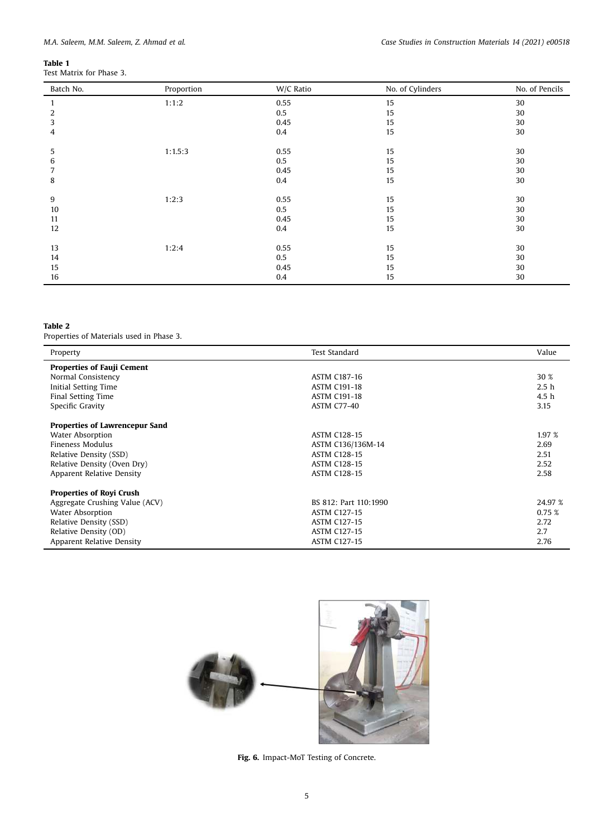<span id="page-4-0"></span>

|--|

| Batch No. | Proportion | W/C Ratio | No. of Cylinders | No. of Pencils |
|-----------|------------|-----------|------------------|----------------|
|           | 1:1:2      | 0.55      | 15               | 30             |
| 2         |            | 0.5       | 15               | 30             |
| 3         |            | 0.45      | 15               | 30             |
| 4         |            | 0.4       | 15               | 30             |
| 5         | 1:1.5:3    | 0.55      | 15               | 30             |
| 6         |            | 0.5       | 15               | 30             |
|           |            | 0.45      | 15               | 30             |
| 8         |            | 0.4       | 15               | 30             |
| 9         | 1:2:3      | 0.55      | 15               | 30             |
| 10        |            | 0.5       | 15               | 30             |
| 11        |            | 0.45      | 15               | 30             |
| 12        |            | 0.4       | 15               | 30             |
| 13        | 1:2:4      | 0.55      | 15               | 30             |
| 14        |            | 0.5       | 15               | 30             |
| 15        |            | 0.45      | 15               | 30             |
| 16        |            | 0.4       | 15               | 30             |

# Table 2

Properties of Materials used in Phase 3.

| Property                          | Test Standard         | Value            |
|-----------------------------------|-----------------------|------------------|
| <b>Properties of Fauji Cement</b> |                       |                  |
| Normal Consistency                | <b>ASTM C187-16</b>   | 30 %             |
| Initial Setting Time              | <b>ASTM C191-18</b>   | 2.5 <sub>h</sub> |
| Final Setting Time                | <b>ASTM C191-18</b>   | 4.5 <sub>h</sub> |
| Specific Gravity                  | <b>ASTM C77-40</b>    | 3.15             |
| Properties of Lawrencepur Sand    |                       |                  |
| Water Absorption                  | <b>ASTM C128-15</b>   | 1.97 %           |
| <b>Fineness Modulus</b>           | ASTM C136/136M-14     | 2.69             |
| Relative Density (SSD)            | <b>ASTM C128-15</b>   | 2.51             |
| Relative Density (Oven Dry)       | <b>ASTM C128-15</b>   | 2.52             |
| Apparent Relative Density         | <b>ASTM C128-15</b>   | 2.58             |
| <b>Properties of Royi Crush</b>   |                       |                  |
| Aggregate Crushing Value (ACV)    | BS 812: Part 110:1990 | 24.97 %          |
| <b>Water Absorption</b>           | <b>ASTM C127-15</b>   | 0.75 %           |
| Relative Density (SSD)            | <b>ASTM C127-15</b>   | 2.72             |
| Relative Density (OD)             | <b>ASTM C127-15</b>   | 2.7              |
| Apparent Relative Density         | <b>ASTM C127-15</b>   | 2.76             |



Fig. 6. Impact-MoT Testing of Concrete.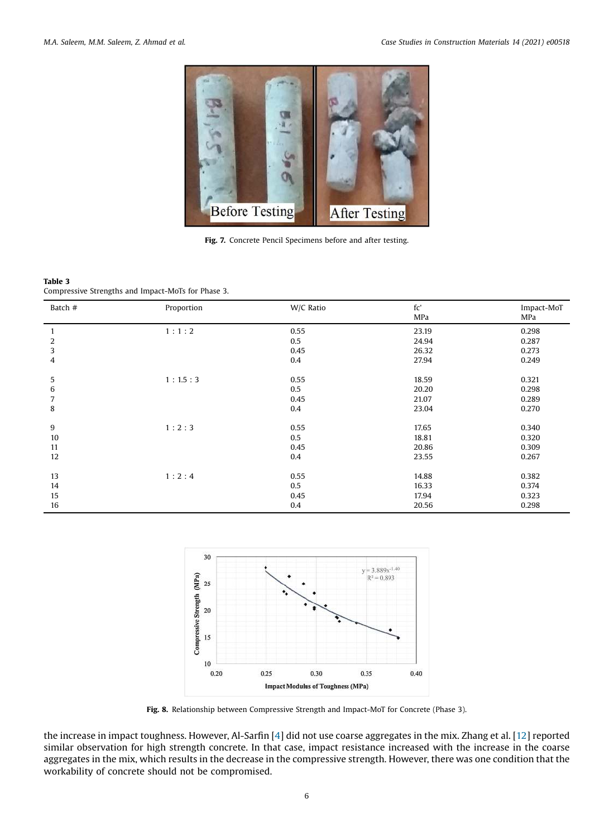<span id="page-5-0"></span>

Fig. 7. Concrete Pencil Specimens before and after testing.

#### Table 3 Compressive Strengths and Impact-MoTs for Phase 3.

| Batch #      | Proportion | W/C Ratio | fc'<br>MPa | Impact-MoT<br>MPa |
|--------------|------------|-----------|------------|-------------------|
| $\mathbf{1}$ | 1:1:2      | 0.55      | 23.19      | 0.298             |
| 2            |            | 0.5       | 24.94      | 0.287             |
| 3            |            | 0.45      | 26.32      | 0.273             |
| 4            |            | 0.4       | 27.94      | 0.249             |
| 5            | 1:1.5:3    | 0.55      | 18.59      | 0.321             |
|              |            | 0.5       | 20.20      |                   |
| 6            |            |           |            | 0.298             |
| 7            |            | 0.45      | 21.07      | 0.289             |
| 8            |            | 0.4       | 23.04      | 0.270             |
| 9            | 1:2:3      | 0.55      | 17.65      | 0.340             |
| 10           |            | 0.5       | 18.81      | 0.320             |
| 11           |            | 0.45      | 20.86      | 0.309             |
| 12           |            | 0.4       | 23.55      | 0.267             |
| 13           | 1:2:4      | 0.55      | 14.88      | 0.382             |
|              |            |           |            |                   |
| 14           |            | 0.5       | 16.33      | 0.374             |
| 15           |            | 0.45      | 17.94      | 0.323             |
| 16           |            | 0.4       | 20.56      | 0.298             |



Fig. 8. Relationship between Compressive Strength and Impact-MoT for Concrete (Phase 3).

the increase in impact toughness. However, Al-Sarfin [[4\]](#page-7-0) did not use coarse aggregates in the mix. Zhang et al. [[12](#page-8-0)] reported similar observation for high strength concrete. In that case, impact resistance increased with the increase in the coarse aggregates in the mix, which results in the decrease in the compressive strength. However, there was one condition that the workability of concrete should not be compromised.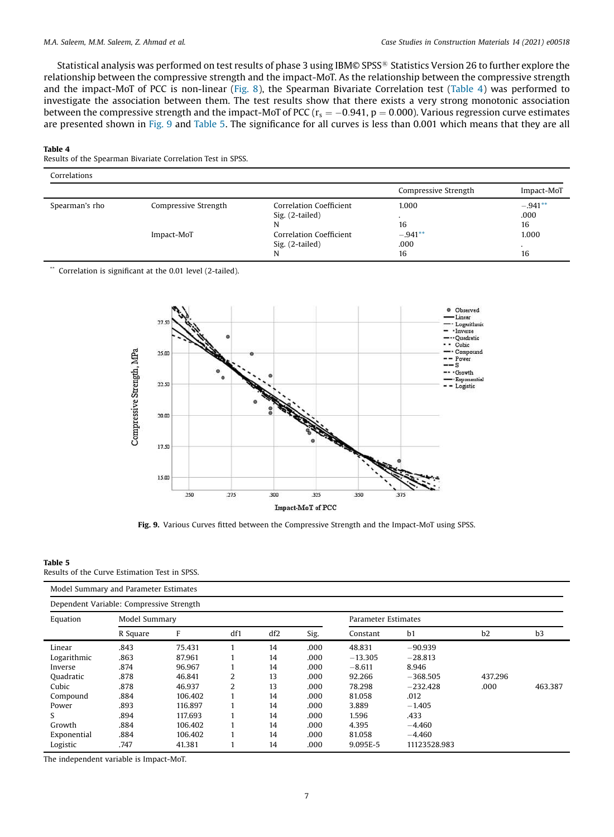Statistical analysis was performed on test results of phase 3 using IBM© SPSS® Statistics Version 26 to further explore the relationship between the compressive strength and the impact-MoT. As the relationship between the compressive strength and the impact-MoT of PCC is non-linear ([Fig.](#page-5-0) 8), the Spearman Bivariate Correlation test (Table 4) was performed to investigate the association between them. The test results show that there exists a very strong monotonic association between the compressive strength and the impact-MoT of PCC ( $r_s = -0.941$ ,  $p = 0.000$ ). Various regression curve estimates are presented shown in Fig. 9 and Table 5. The significance for all curves is less than 0.001 which means that they are all

#### Table 4

Results of the Spearman Bivariate Correlation Test in SPSS.

| Correlations   |                      |                                            | Compressive Strength    | Impact-MoT              |
|----------------|----------------------|--------------------------------------------|-------------------------|-------------------------|
| Spearman's rho | Compressive Strength | Correlation Coefficient<br>Sig. (2-tailed) | 1.000<br>16             | $-.941**$<br>.000<br>16 |
|                | Impact-MoT           | Correlation Coefficient<br>Sig. (2-tailed) | $-.941**$<br>.000<br>16 | 1.000<br>16             |

Correlation is significant at the 0.01 level (2-tailed).



Fig. 9. Various Curves fitted between the Compressive Strength and the Impact-MoT using SPSS.

#### Table 5

Results of the Curve Estimation Test in SPSS.

|                                          | Model Summary and Parameter Estimates |         |     |     |      |                     |              |         |         |
|------------------------------------------|---------------------------------------|---------|-----|-----|------|---------------------|--------------|---------|---------|
| Dependent Variable: Compressive Strength |                                       |         |     |     |      |                     |              |         |         |
| Equation                                 | Model Summary                         |         |     |     |      | Parameter Estimates |              |         |         |
|                                          | R Square                              | F       | df1 | df2 | Sig. | Constant            | b1           | b2      | b3      |
| Linear                                   | .843                                  | 75.431  |     | 14  | .000 | 48.831              | $-90.939$    |         |         |
| Logarithmic                              | .863                                  | 87.961  |     | 14  | .000 | $-13.305$           | $-28.813$    |         |         |
| Inverse                                  | .874                                  | 96.967  |     | 14  | .000 | $-8.611$            | 8.946        |         |         |
| Quadratic                                | .878                                  | 46.841  | 2   | 13  | .000 | 92.266              | $-368.505$   | 437.296 |         |
| Cubic                                    | .878                                  | 46.937  | 2   | 13  | .000 | 78.298              | $-232.428$   | .000    | 463.387 |
| Compound                                 | .884                                  | 106.402 |     | 14  | .000 | 81.058              | .012         |         |         |
| Power                                    | .893                                  | 116.897 |     | 14  | .000 | 3.889               | $-1.405$     |         |         |
| S                                        | .894                                  | 117.693 |     | 14  | .000 | 1.596               | .433         |         |         |
| Growth                                   | .884                                  | 106.402 |     | 14  | .000 | 4.395               | $-4.460$     |         |         |
| Exponential                              | .884                                  | 106.402 |     | 14  | .000 | 81.058              | $-4.460$     |         |         |
| Logistic                                 | .747                                  | 41.381  |     | 14  | .000 | 9.095E-5            | 11123528.983 |         |         |

The independent variable is Impact-MoT.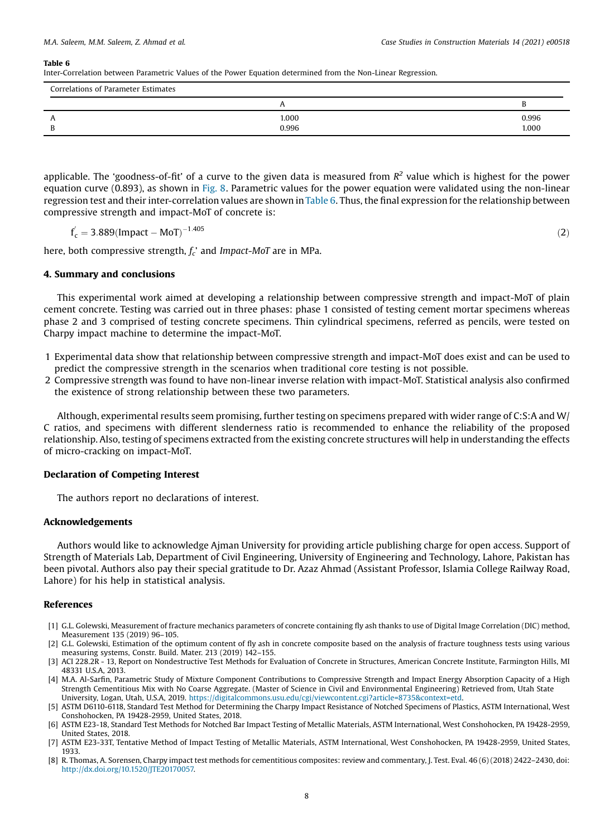#### <span id="page-7-0"></span>Table 6

Inter-Correlation between Parametric Values of the Power Equation determined from the Non-Linear Regression.

| Correlations of Parameter Estimates |       |       |  |  |  |
|-------------------------------------|-------|-------|--|--|--|
|                                     |       |       |  |  |  |
| $\mathbf{r}$                        | 1.000 | 0.996 |  |  |  |
| ◡                                   | 0.996 | 1.000 |  |  |  |

applicable. The 'goodness-of-fit' of a curve to the given data is measured from  $R^2$  value which is highest for the power equation curve (0.893), as shown in [Fig.](#page-5-0) 8. Parametric values for the power equation were validated using the non-linear regression test and their inter-correlation values are shown in Table 6. Thus, the final expression for the relationship between compressive strength and impact-MoT of concrete is:

$$
f'_{c} = 3.889( \text{Impact} - \text{MoT})^{-1.405} \tag{2}
$$

here, both compressive strength, *f<sup>c</sup>* ' and *Impact*-*MoT* are in MPa.

# 4. Summary and conclusions

This experimental work aimed at developing a relationship between compressive strength and impact-MoT of plain cement concrete. Testing was carried out in three phases: phase 1 consisted of testing cement mortar specimens whereas phase 2 and 3 comprised of testing concrete specimens. Thin cylindrical specimens, referred as pencils, were tested on Charpy impact machine to determine the impact-MoT.

- 1 Experimental data show that relationship between compressive strength and impact-MoT does exist and can be used to predict the compressive strength in the scenarios when traditional core testing is not possible.
- 2 Compressive strength was found to have non-linear inverse relation with impact-MoT. Statistical analysis also confirmed the existence of strong relationship between these two parameters.

Although, experimental results seem promising, further testing on specimens prepared with wider range of C:S:A and W/ C ratios, and specimens with different slenderness ratio is recommended to enhance the reliability of the proposed relationship. Also, testing of specimens extracted from the existing concrete structures will help in understanding the effects of micro-cracking on impact-MoT.

# Declaration of Competing Interest

The authors report no declarations of interest.

## Acknowledgements

Authors would like to acknowledge Ajman University for providing article publishing charge for open access. Support of Strength of Materials Lab, Department of Civil Engineering, University of Engineering and Technology, Lahore, Pakistan has been pivotal. Authors also pay their special gratitude to Dr. Azaz Ahmad (Assistant Professor, Islamia College Railway Road, Lahore) for his help in statistical analysis.

#### References

- [1] G.L. Golewski, Measurement of fracture mechanics parameters of concrete containing fly ash thanks to use of Digital Image Correlation (DIC) method, Measurement 135 (2019) 96–105.
- [2] G.L. Golewski, Estimation of the optimum content of fly ash in concrete composite based on the analysis of fracture toughness tests using various measuring systems, Constr. Build. Mater. 213 (2019) 142–155.
- [3] ACI 228.2R 13, Report on Nondestructive Test Methods for Evaluation of Concrete in Structures, American Concrete Institute, Farmington Hills, MI 48331 U.S.A, 2013.
- [4] M.A. Al-Sarfin, Parametric Study of Mixture Component Contributions to Compressive Strength and Impact Energy Absorption Capacity of a High Strength Cementitious Mix with No Coarse Aggregate. (Master of Science in Civil and Environmental Engineering) Retrieved from, Utah State University, Logan, Utah, U.S.A, 2019. [https://digitalcommons.usu.edu/cgi/viewcontent.cgi?article=8735&context=etd.](https://digitalcommons.usu.edu/cgi/viewcontent.cgi?article=8735%26context=etd)
- [5] ASTM D6110-6118, Standard Test Method for Determining the Charpy Impact Resistance of Notched Specimens of Plastics, ASTM International, West Conshohocken, PA 19428-2959, United States, 2018.
- [6] ASTM E23-18, Standard Test Methods for Notched Bar Impact Testing of Metallic Materials, ASTM International, West Conshohocken, PA 19428-2959, United States, 2018.
- [7] ASTM E23-33T, Tentative Method of Impact Testing of Metallic Materials, ASTM International, West Conshohocken, PA 19428-2959, United States, 1933.
- [8] R. Thomas, A. Sorensen, Charpy impact test methods for cementitious composites: review and commentary, J. Test. Eval. 46 (6) (2018) 2422–2430, doi: [http://dx.doi.org/10.1520/JTE20170057.](http://dx.doi.org/10.1520/JTE20170057)